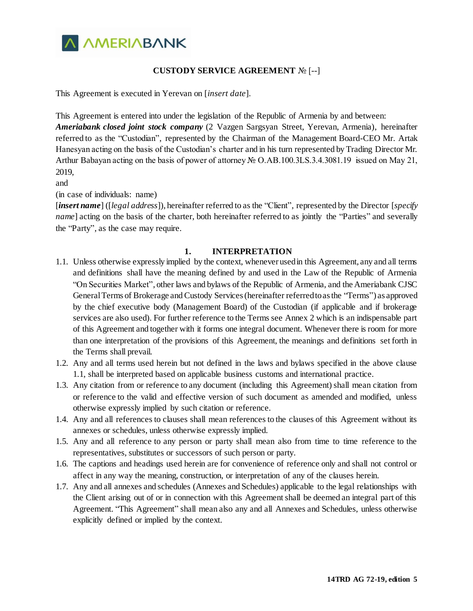

## **CUSTODY SERVICE AGREEMENT** № [--]

This Agreement is executed in Yerevan on [*insert date*].

This Agreement is entered into under the legislation of the Republic of Armenia by and between: *Ameriabank closed joint stock company* (2 Vazgen Sargsyan Street, Yerevan, Armenia), hereinafter referred to as the "Custodian", represented by the Chairman of the Management Board-CEO Mr. Artak Hanesyan acting on the basis of the Custodian's charter and in his turn represented by Trading Director Mr. Arthur Babayan acting on the basis of power of attorney № O.AB.100.3LS.3.4.3081.19 issued on May 21, 2019,

and

(in case of individuals: name)

[*insert name*] ([*legal address*]), hereinafter referred to as the "Client", represented by the Director [*specify name*] acting on the basis of the charter, both hereinafter referred to as jointly the "Parties" and severally the "Party", as the case may require.

### **1. INTERPRETATION**

- 1.1. Unless otherwise expressly implied by the context, whenever used in this Agreement, any and all terms and definitions shall have the meaning defined by and used in the Law of the Republic of Armenia "On Securities Market", other laws and bylaws of the Republic of Armenia, and the Ameriabank CJSC General Terms of Brokerage and Custody Services (hereinafter referred to as the "Terms") as approved by the chief executive body (Management Board) of the Custodian (if applicable and if brokerage services are also used). For further reference to the Terms see Annex 2 which is an indispensable part of this Agreement and together with it forms one integral document. Whenever there is room for more than one interpretation of the provisions of this Agreement, the meanings and definitions set forth in the Terms shall prevail.
- 1.2. Any and all terms used herein but not defined in the laws and bylaws specified in the above clause 1.1, shall be interpreted based on applicable business customs and international practice.
- 1.3. Any citation from or reference to any document (including this Agreement) shall mean citation from or reference to the valid and effective version of such document as amended and modified, unless otherwise expressly implied by such citation or reference.
- 1.4. Any and all references to clauses shall mean references to the clauses of this Agreement without its annexes or schedules, unless otherwise expressly implied.
- 1.5. Any and all reference to any person or party shall mean also from time to time reference to the representatives, substitutes or successors of such person or party.
- 1.6. The captions and headings used herein are for convenience of reference only and shall not control or affect in any way the meaning, construction, or interpretation of any of the clauses herein.
- 1.7. Any and all annexes and schedules (Annexes and Schedules) applicable to the legal relationships with the Client arising out of or in connection with this Agreement shall be deemed an integral part of this Agreement. "This Agreement" shall mean also any and all Annexes and Schedules, unless otherwise explicitly defined or implied by the context.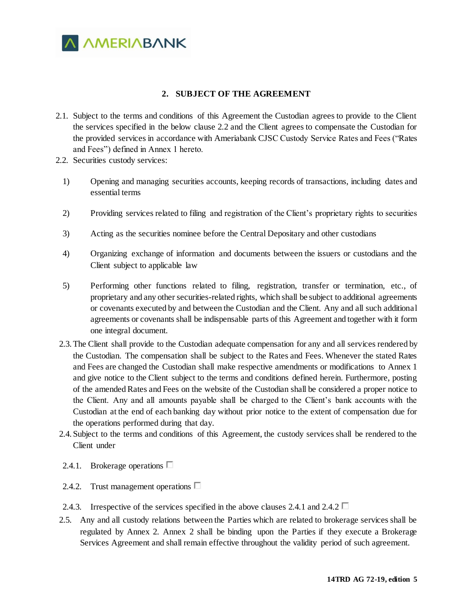

## **2. SUBJECT OF THE AGREEMENT**

- 2.1. Subject to the terms and conditions of this Agreement the Custodian agrees to provide to the Client the services specified in the below clause 2.2 and the Client agrees to compensate the Custodian for the provided services in accordance with Ameriabank CJSC Custody Service Rates and Fees ("Rates and Fees") defined in Annex 1 hereto.
- 2.2. Securities custody services:
	- 1) Opening and managing securities accounts, keeping records of transactions, including dates and essential terms
	- 2) Providing services related to filing and registration of the Client's proprietary rights to securities
	- 3) Acting as the securities nominee before the Central Depositary and other custodians
	- 4) Organizing exchange of information and documents between the issuers or custodians and the Client subject to applicable law
	- 5) Performing other functions related to filing, registration, transfer or termination, etc., of proprietary and any other securities-related rights, which shall be subject to additional agreements or covenants executed by and between the Custodian and the Client. Any and all such additional agreements or covenants shall be indispensable parts of this Agreement and together with it form one integral document.
- 2.3.The Client shall provide to the Custodian adequate compensation for any and all services rendered by the Custodian. The compensation shall be subject to the Rates and Fees. Whenever the stated Rates and Fees are changed the Custodian shall make respective amendments or modifications to Annex 1 and give notice to the Client subject to the terms and conditions defined herein. Furthermore, posting of the amended Rates and Fees on the website of the Custodian shall be considered a proper notice to the Client. Any and all amounts payable shall be charged to the Client's bank accounts with the Custodian at the end of each banking day without prior notice to the extent of compensation due for the operations performed during that day.
- 2.4. Subject to the terms and conditions of this Agreement, the custody services shall be rendered to the Client under
- 2.4.1. Brokerage operations  $\square$
- 2.4.2. Trust management operations  $\Box$
- 2.4.3. Irrespective of the services specified in the above clauses 2.4.1 and 2.4.2  $\Box$
- 2.5. Any and all custody relations between the Parties which are related to brokerage services shall be regulated by Annex 2. Annex 2 shall be binding upon the Parties if they execute a Brokerage Services Agreement and shall remain effective throughout the validity period of such agreement.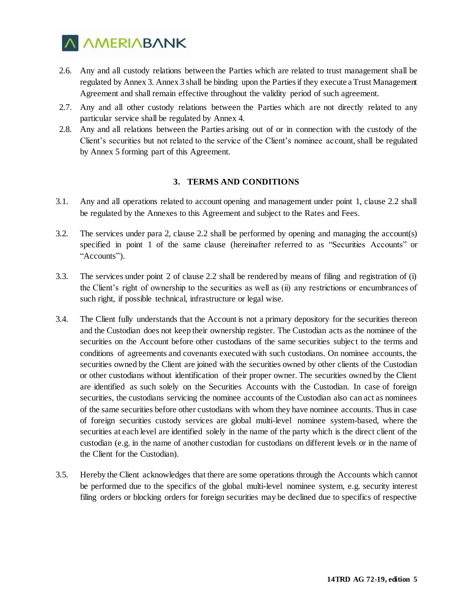

- 2.6. Any and all custody relations between the Parties which are related to trust management shall be regulated by Annex 3. Annex 3 shall be binding upon the Parties if they execute a Trust Management Agreement and shall remain effective throughout the validity period of such agreement.
- 2.7. Any and all other custody relations between the Parties which are not directly related to any particular service shall be regulated by Annex 4.
- 2.8. Any and all relations between the Parties arising out of or in connection with the custody of the Client's securities but not related to the service of the Client's nominee account, shall be regulated by Annex 5 forming part of this Agreement.

#### **3. TERMS AND CONDITIONS**

- 3.1. Any and all operations related to account opening and management under point 1, clause 2.2 shall be regulated by the Annexes to this Agreement and subject to the Rates and Fees.
- 3.2. The services under para 2, clause 2.2 shall be performed by opening and managing the account(s) specified in point 1 of the same clause (hereinafter referred to as "Securities Accounts" or "Accounts").
- 3.3. The services under point 2 of clause 2.2 shall be rendered by means of filing and registration of (i) the Client's right of ownership to the securities as well as (ii) any restrictions or encumbrances of such right, if possible technical, infrastructure or legal wise.
- 3.4. The Client fully understands that the Account is not a primary depository for the securities thereon and the Custodian does not keep their ownership register. The Custodian acts as the nominee of the securities on the Account before other custodians of the same securities subject to the terms and conditions of agreements and covenants executed with such custodians. On nominee accounts, the securities owned by the Client are joined with the securities owned by other clients of the Custodian or other custodians without identification of their proper owner. The securities owned by the Client are identified as such solely on the Securities Accounts with the Custodian. In case of foreign securities, the custodians servicing the nominee accounts of the Custodian also can act as nominees of the same securities before other custodians with whom they have nominee accounts. Thus in case of foreign securities custody services are global multi-level nominee system-based, where the securities at each level are identified solely in the name of the party which is the direct client of the custodian (e.g. in the name of another custodian for custodians on different levels or in the name of the Client for the Custodian).
- 3.5. Hereby the Client acknowledges that there are some operations through the Accounts which cannot be performed due to the specifics of the global multi-level nominee system, e.g. security interest filing orders or blocking orders for foreign securities may be declined due to specifics of respective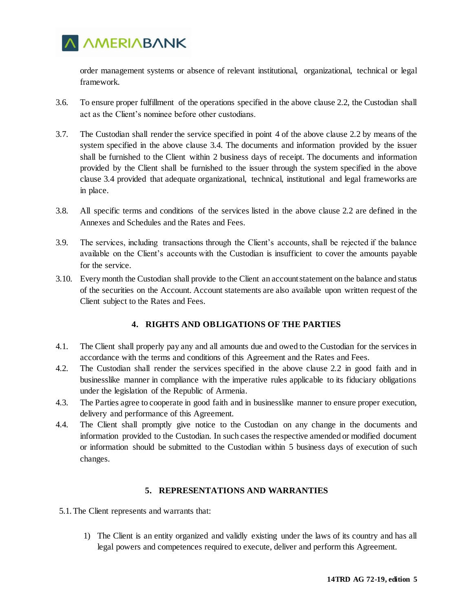

order management systems or absence of relevant institutional, organizational, technical or legal framework.

- 3.6. To ensure proper fulfillment of the operations specified in the above clause 2.2, the Custodian shall act as the Client's nominee before other custodians.
- 3.7. The Custodian shall render the service specified in point 4 of the above clause 2.2 by means of the system specified in the above clause 3.4. The documents and information provided by the issuer shall be furnished to the Client within 2 business days of receipt. The documents and information provided by the Client shall be furnished to the issuer through the system specified in the above clause 3.4 provided that adequate organizational, technical, institutional and legal frameworks are in place.
- 3.8. All specific terms and conditions of the services listed in the above clause 2.2 are defined in the Annexes and Schedules and the Rates and Fees.
- 3.9. The services, including transactions through the Client's accounts, shall be rejected if the balance available on the Client's accounts with the Custodian is insufficient to cover the amounts payable for the service.
- 3.10. Every month the Custodian shall provide to the Client an account statement on the balance and status of the securities on the Account. Account statements are also available upon written request of the Client subject to the Rates and Fees.

# **4. RIGHTS AND OBLIGATIONS OF THE PARTIES**

- 4.1. The Client shall properly pay any and all amounts due and owed to the Custodian for the services in accordance with the terms and conditions of this Agreement and the Rates and Fees.
- 4.2. The Custodian shall render the services specified in the above clause 2.2 in good faith and in businesslike manner in compliance with the imperative rules applicable to its fiduciary obligations under the legislation of the Republic of Armenia.
- 4.3. The Parties agree to cooperate in good faith and in businesslike manner to ensure proper execution, delivery and performance of this Agreement.
- 4.4. The Client shall promptly give notice to the Custodian on any change in the documents and information provided to the Custodian. In such cases the respective amended or modified document or information should be submitted to the Custodian within 5 business days of execution of such changes.

### **5. REPRESENTATIONS AND WARRANTIES**

- 5.1.The Client represents and warrants that:
	- 1) The Client is an entity organized and validly existing under the laws of its country and has all legal powers and competences required to execute, deliver and perform this Agreement.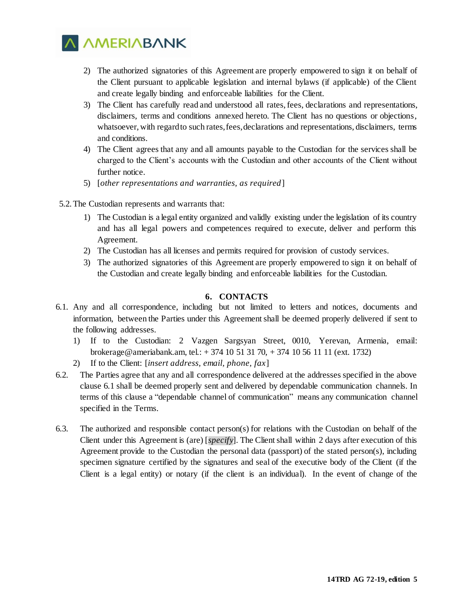

- 2) The authorized signatories of this Agreement are properly empowered to sign it on behalf of the Client pursuant to applicable legislation and internal bylaws (if applicable) of the Client and create legally binding and enforceable liabilities for the Client.
- 3) The Client has carefully read and understood all rates, fees, declarations and representations, disclaimers, terms and conditions annexed hereto. The Client has no questions or objections, whatsoever, with regard to such rates, fees, declarations and representations, disclaimers, terms and conditions.
- 4) The Client agrees that any and all amounts payable to the Custodian for the services shall be charged to the Client's accounts with the Custodian and other accounts of the Client without further notice.
- 5) [*other representations and warranties, as required*]
- 5.2.The Custodian represents and warrants that:
	- 1) The Custodian is a legal entity organized and validly existing under the legislation of its country and has all legal powers and competences required to execute, deliver and perform this Agreement.
	- 2) The Custodian has all licenses and permits required for provision of custody services.
	- 3) The authorized signatories of this Agreement are properly empowered to sign it on behalf of the Custodian and create legally binding and enforceable liabilities for the Custodian.

## **6. CONTACTS**

- 6.1. Any and all correspondence, including but not limited to letters and notices, documents and information, between the Parties under this Agreement shall be deemed properly delivered if sent to the following addresses.
	- 1) If to the Custodian: 2 Vazgen Sargsyan Street, 0010, Yerevan, Armenia, email: brokerage@ameriabank.am, tel.: + 374 10 51 31 70, + 374 10 56 11 11 (ext. 1732)
	- 2) If to the Client: [*insert address, email, phone, fax*]
- 6.2. The Parties agree that any and all correspondence delivered at the addresses specified in the above clause 6.1 shall be deemed properly sent and delivered by dependable communication channels. In terms of this clause a "dependable channel of communication" means any communication channel specified in the Terms.
- 6.3. The authorized and responsible contact person(s) for relations with the Custodian on behalf of the Client under this Agreement is (are) [*specify*]. The Client shall within 2 days after execution of this Agreement provide to the Custodian the personal data (passport) of the stated person(s), including specimen signature certified by the signatures and seal of the executive body of the Client (if the Client is a legal entity) or notary (if the client is an individual). In the event of change of the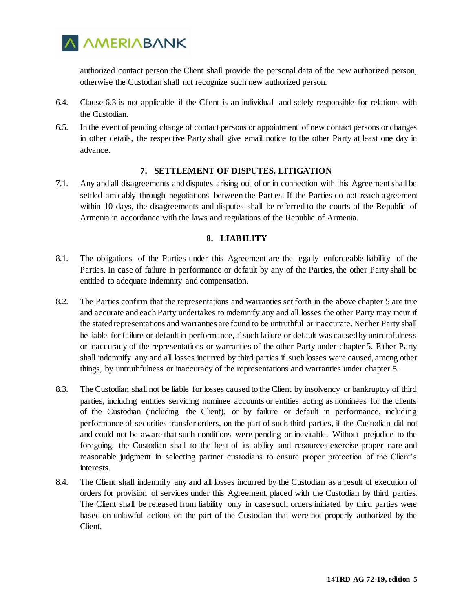

authorized contact person the Client shall provide the personal data of the new authorized person, otherwise the Custodian shall not recognize such new authorized person.

- 6.4. Clause 6.3 is not applicable if the Client is an individual and solely responsible for relations with the Custodian.
- 6.5. In the event of pending change of contact persons or appointment of new contact persons or changes in other details, the respective Party shall give email notice to the other Party at least one day in advance.

### **7. SETTLEMENT OF DISPUTES. LITIGATION**

7.1. Any and all disagreements and disputes arising out of or in connection with this Agreement shall be settled amicably through negotiations between the Parties. If the Parties do not reach agreement within 10 days, the disagreements and disputes shall be referred to the courts of the Republic of Armenia in accordance with the laws and regulations of the Republic of Armenia.

## **8. LIABILITY**

- 8.1. The obligations of the Parties under this Agreement are the legally enforceable liability of the Parties. In case of failure in performance or default by any of the Parties, the other Party shall be entitled to adequate indemnity and compensation.
- 8.2. The Parties confirm that the representations and warranties set forth in the above chapter 5 are true and accurate and each Party undertakes to indemnify any and all losses the other Party may incur if the stated representations and warranties are found to be untruthful or inaccurate. Neither Party shall be liable for failure or default in performance, if such failure or default was caused by untruthfulness or inaccuracy of the representations or warranties of the other Party under chapter 5. Either Party shall indemnify any and all losses incurred by third parties if such losses were caused, among other things, by untruthfulness or inaccuracy of the representations and warranties under chapter 5.
- 8.3. The Custodian shall not be liable for losses caused to the Client by insolvency or bankruptcy of third parties, including entities servicing nominee accounts or entities acting as nominees for the clients of the Custodian (including the Client), or by failure or default in performance, including performance of securities transfer orders, on the part of such third parties, if the Custodian did not and could not be aware that such conditions were pending or inevitable. Without prejudice to the foregoing, the Custodian shall to the best of its ability and resources exercise proper care and reasonable judgment in selecting partner custodians to ensure proper protection of the Client's interests.
- 8.4. The Client shall indemnify any and all losses incurred by the Custodian as a result of execution of orders for provision of services under this Agreement, placed with the Custodian by third parties. The Client shall be released from liability only in case such orders initiated by third parties were based on unlawful actions on the part of the Custodian that were not properly authorized by the Client.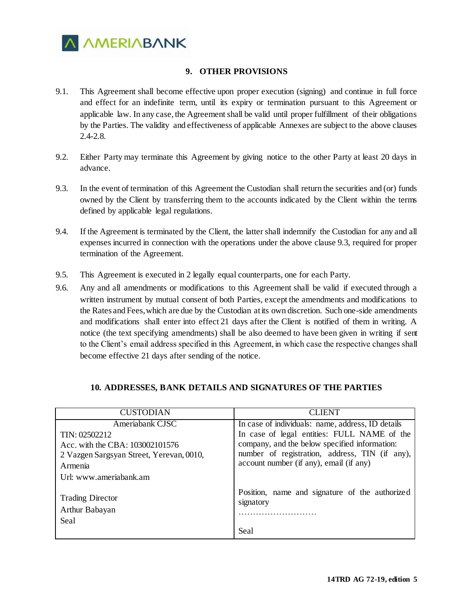

## **9. OTHER PROVISIONS**

- 9.1. This Agreement shall become effective upon proper execution (signing) and continue in full force and effect for an indefinite term, until its expiry or termination pursuant to this Agreement or applicable law. In any case, the Agreement shall be valid until proper fulfillment of their obligations by the Parties. The validity and effectiveness of applicable Annexes are subject to the above clauses 2.4-2.8.
- 9.2. Either Party may terminate this Agreement by giving notice to the other Party at least 20 days in advance.
- 9.3. In the event of termination of this Agreement the Custodian shall return the securities and (or) funds owned by the Client by transferring them to the accounts indicated by the Client within the terms defined by applicable legal regulations.
- 9.4. If the Agreement is terminated by the Client, the latter shall indemnify the Custodian for any and all expenses incurred in connection with the operations under the above clause 9.3, required for proper termination of the Agreement.
- 9.5. This Agreement is executed in 2 legally equal counterparts, one for each Party.
- 9.6. Any and all amendments or modifications to this Agreement shall be valid if executed through a written instrument by mutual consent of both Parties, except the amendments and modifications to the Rates and Fees, which are due by the Custodian at its own discretion. Such one-side amendments and modifications shall enter into effect 21 days after the Client is notified of them in writing. A notice (the text specifying amendments) shall be also deemed to have been given in writing if sent to the Client's email address specified in this Agreement, in which case the respective changes shall become effective 21 days after sending of the notice.

| <b>CUSTODIAN</b>                                  | CLIENT                                                      |
|---------------------------------------------------|-------------------------------------------------------------|
| Ameriabank CJSC                                   | In case of individuals: name, address, ID details           |
| TIN: 02502212                                     | In case of legal entities: FULL NAME of the                 |
| Acc. with the CBA: 103002101576                   | company, and the below specified information:               |
| 2 Vazgen Sargsyan Street, Yerevan, 0010,          | number of registration, address, TIN (if any),              |
| Armenia                                           | account number (if any), email (if any)                     |
| Url: www.ameriabank.am                            |                                                             |
| <b>Trading Director</b><br>Arthur Babayan<br>Seal | Position, name and signature of the authorized<br>signatory |
|                                                   | Seal                                                        |

### **10. ADDRESSES, BANK DETAILS AND SIGNATURES OF THE PARTIES**